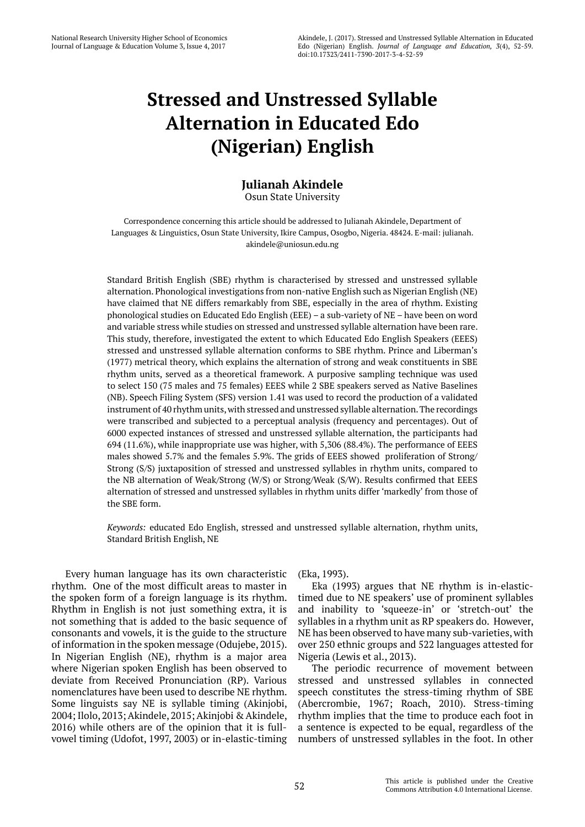# **Stressed and Unstressed Syllable Alternation in Educated Edo (Nigerian) English**

# **Julianah Akindele**

Osun State University

Correspondence concerning this article should be addressed to Julianah Akindele, Department of Languages & Linguistics, Osun State University, Ikire Campus, Osogbo, Nigeria. 48424. E-mail: julianah. akindele@uniosun.edu.ng

Standard British English (SBE) rhythm is characterised by stressed and unstressed syllable alternation. Phonological investigations from non-native English such as Nigerian English (NE) have claimed that NE differs remarkably from SBE, especially in the area of rhythm. Existing phonological studies on Educated Edo English (EEE) – a sub-variety of NE – have been on word and variable stress while studies on stressed and unstressed syllable alternation have been rare. This study, therefore, investigated the extent to which Educated Edo English Speakers (EEES) stressed and unstressed syllable alternation conforms to SBE rhythm. Prince and Liberman's (1977) metrical theory, which explains the alternation of strong and weak constituents in SBE rhythm units, served as a theoretical framework. A purposive sampling technique was used to select 150 (75 males and 75 females) EEES while 2 SBE speakers served as Native Baselines (NB). Speech Filing System (SFS) version 1.41 was used to record the production of a validated instrument of 40 rhythm units, with stressed and unstressed syllable alternation. The recordings were transcribed and subjected to a perceptual analysis (frequency and percentages). Out of 6000 expected instances of stressed and unstressed syllable alternation, the participants had 694 (11.6%), while inappropriate use was higher, with 5,306 (88.4%). The performance of EEES males showed 5.7% and the females 5.9%. The grids of EEES showed proliferation of Strong/ Strong (S/S) juxtaposition of stressed and unstressed syllables in rhythm units, compared to the NB alternation of Weak/Strong (W/S) or Strong/Weak (S/W). Results confirmed that EEES alternation of stressed and unstressed syllables in rhythm units differ 'markedly' from those of the SBE form.

*Keywords:* educated Edo English, stressed and unstressed syllable alternation, rhythm units, Standard British English, NE

Every human language has its own characteristic rhythm. One of the most difficult areas to master in the spoken form of a foreign language is its rhythm. Rhythm in English is not just something extra, it is not something that is added to the basic sequence of consonants and vowels, it is the guide to the structure of information in the spoken message (Odujebe, 2015). In Nigerian English (NE), rhythm is a major area where Nigerian spoken English has been observed to deviate from Received Pronunciation (RP). Various nomenclatures have been used to describe NE rhythm. Some linguists say NE is syllable timing (Akinjobi, 2004; Ilolo, 2013; Akindele, 2015; Akinjobi & Akindele, 2016) while others are of the opinion that it is fullvowel timing (Udofot, 1997, 2003) or in-elastic-timing (Eka, 1993).

Eka (1993) argues that NE rhythm is in-elastictimed due to NE speakers' use of prominent syllables and inability to 'squeeze-in' or 'stretch-out' the syllables in a rhythm unit as RP speakers do. However, NE has been observed to have many sub-varieties, with over 250 ethnic groups and 522 languages attested for Nigeria (Lewis et al., 2013).

The periodic recurrence of movement between stressed and unstressed syllables in connected speech constitutes the stress-timing rhythm of SBE (Abercrombie, 1967; Roach, 2010). Stress-timing rhythm implies that the time to produce each foot in a sentence is expected to be equal, regardless of the numbers of unstressed syllables in the foot. In other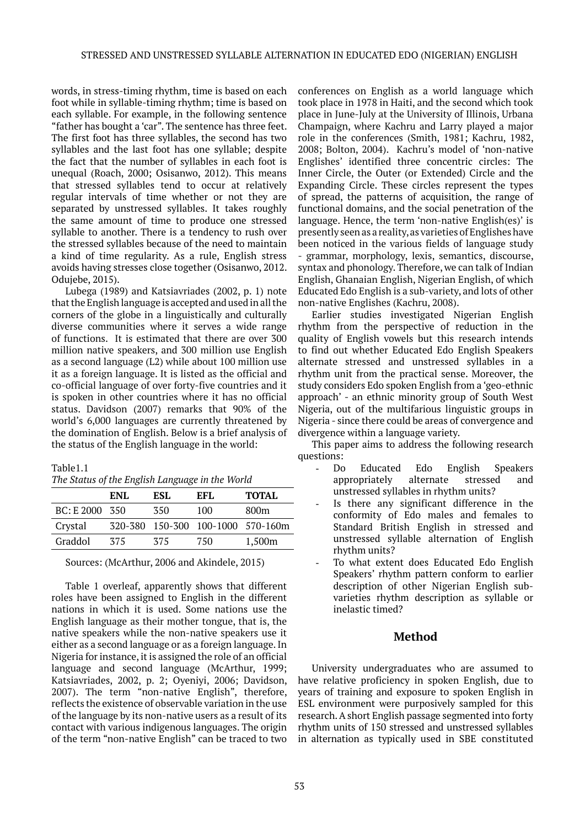words, in stress-timing rhythm, time is based on each foot while in syllable-timing rhythm; time is based on each syllable. For example, in the following sentence "father has bought a 'car". The sentence has three feet. The first foot has three syllables, the second has two syllables and the last foot has one syllable; despite the fact that the number of syllables in each foot is unequal (Roach, 2000; Osisanwo, 2012). This means that stressed syllables tend to occur at relatively regular intervals of time whether or not they are separated by unstressed syllables. It takes roughly the same amount of time to produce one stressed syllable to another. There is a tendency to rush over the stressed syllables because of the need to maintain a kind of time regularity. As a rule, English stress avoids having stresses close together (Osisanwo, 2012. Odujebe, 2015).

Lubega (1989) and Katsiavriades (2002, p. 1) note that the English language is accepted and used in all the corners of the globe in a linguistically and culturally diverse communities where it serves a wide range of functions. It is estimated that there are over 300 million native speakers, and 300 million use English as a second language (L2) while about 100 million use it as a foreign language. It is listed as the official and co-official language of over forty-five countries and it is spoken in other countries where it has no official status. Davidson (2007) remarks that 90% of the world's 6,000 languages are currently threatened by the domination of English. Below is a brief analysis of the status of the English language in the world:

#### Table1.1

| The Status of the English Language in the World |  |  |  |
|-------------------------------------------------|--|--|--|
|-------------------------------------------------|--|--|--|

|                | ENL | ESL. | EFL. | <b>TOTAL</b>                      |
|----------------|-----|------|------|-----------------------------------|
| BC: E 2000 350 |     | 350  | 100  | 800m                              |
| Crystal        |     |      |      | 320-380 150-300 100-1000 570-160m |
| Graddol        | 375 | 375  | 750  | 1,500m                            |

Sources: (McArthur, 2006 and Akindele, 2015)

Table 1 overleaf, apparently shows that different roles have been assigned to English in the different nations in which it is used. Some nations use the English language as their mother tongue, that is, the native speakers while the non-native speakers use it either as a second language or as a foreign language. In Nigeria for instance, it is assigned the role of an official language and second language (McArthur, 1999; Katsiavriades, 2002, p. 2; Oyeniyi, 2006; Davidson, 2007). The term "non-native English", therefore, reflects the existence of observable variation in the use of the language by its non-native users as a result of its contact with various indigenous languages. The origin of the term "non-native English" can be traced to two

conferences on English as a world language which took place in 1978 in Haiti, and the second which took place in June-July at the University of Illinois, Urbana Champaign, where Kachru and Larry played a major role in the conferences (Smith, 1981; Kachru, 1982, 2008; Bolton, 2004). Kachru's model of 'non-native Englishes' identified three concentric circles: The Inner Circle, the Outer (or Extended) Circle and the Expanding Circle. These circles represent the types of spread, the patterns of acquisition, the range of functional domains, and the social penetration of the language. Hence, the term 'non-native English(es)' is presently seen as a reality, as varieties of Englishes have been noticed in the various fields of language study - grammar, morphology, lexis, semantics, discourse, syntax and phonology. Therefore, we can talk of Indian English, Ghanaian English, Nigerian English, of which Educated Edo English is a sub-variety, and lots of other non-native Englishes (Kachru, 2008).

Earlier studies investigated Nigerian English rhythm from the perspective of reduction in the quality of English vowels but this research intends to find out whether Educated Edo English Speakers alternate stressed and unstressed syllables in a rhythm unit from the practical sense. Moreover, the study considers Edo spoken English from a 'geo-ethnic approach' - an ethnic minority group of South West Nigeria, out of the multifarious linguistic groups in Nigeria - since there could be areas of convergence and divergence within a language variety.

This paper aims to address the following research questions:

- Do Educated Edo English Speakers appropriately alternate stressed and unstressed syllables in rhythm units?
- Is there any significant difference in the conformity of Edo males and females to Standard British English in stressed and unstressed syllable alternation of English rhythm units?
- To what extent does Educated Edo English Speakers' rhythm pattern conform to earlier description of other Nigerian English subvarieties rhythm description as syllable or inelastic timed?

## **Method**

University undergraduates who are assumed to have relative proficiency in spoken English, due to years of training and exposure to spoken English in ESL environment were purposively sampled for this research. A short English passage segmented into forty rhythm units of 150 stressed and unstressed syllables in alternation as typically used in SBE constituted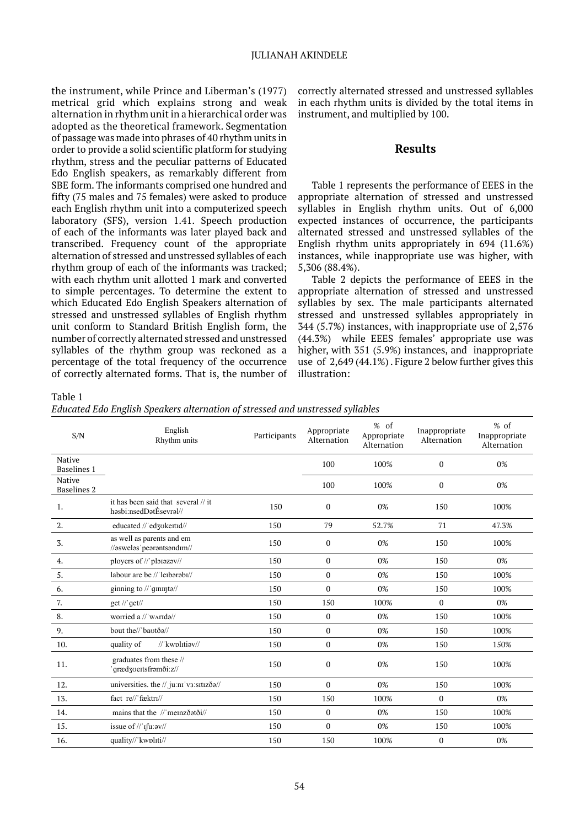the instrument, while Prince and Liberman's (1977) metrical grid which explains strong and weak alternation in rhythm unit in a hierarchical order was adopted as the theoretical framework. Segmentation of passage was made into phrases of 40 rhythm units in order to provide a solid scientific platform for studying rhythm, stress and the peculiar patterns of Educated Edo English speakers, as remarkably different from SBE form. The informants comprised one hundred and fifty (75 males and 75 females) were asked to produce each English rhythm unit into a computerized speech laboratory (SFS), version 1.41. Speech production of each of the informants was later played back and transcribed. Frequency count of the appropriate alternation of stressed and unstressed syllables of each rhythm group of each of the informants was tracked; with each rhythm unit allotted 1 mark and converted to simple percentages. To determine the extent to which Educated Edo English Speakers alternation of stressed and unstressed syllables of English rhythm unit conform to Standard British English form, the number of correctly alternated stressed and unstressed syllables of the rhythm group was reckoned as a percentage of the total frequency of the occurrence of correctly alternated forms. That is, the number of correctly alternated stressed and unstressed syllables in each rhythm units is divided by the total items in instrument, and multiplied by 100.

## **Results**

Table 1 represents the performance of EEES in the appropriate alternation of stressed and unstressed syllables in English rhythm units. Out of 6,000 expected instances of occurrence, the participants alternated stressed and unstressed syllables of the English rhythm units appropriately in 694 (11.6%) instances, while inappropriate use was higher, with 5,306 (88.4%).

Table 2 depicts the performance of EEES in the appropriate alternation of stressed and unstressed syllables by sex. The male participants alternated stressed and unstressed syllables appropriately in 344 (5.7%) instances, with inappropriate use of 2,576 (44.3%) while EEES females' appropriate use was higher, with 351 (5.9%) instances, and inappropriate use of 2,649 (44.1%) . Figure 2 below further gives this illustration:

Table 1

*Educated Edo English Speakers alternation of stressed and unstressed syllables*

| S/N                          | English<br>Rhythm units                                       | Participants | Appropriate<br>Alternation | $%$ of<br>Appropriate<br>Alternation | Inappropriate<br>Alternation | $%$ of<br>Inappropriate<br>Alternation |
|------------------------------|---------------------------------------------------------------|--------------|----------------------------|--------------------------------------|------------------------------|----------------------------------------|
| Native<br>Baselines 1        |                                                               |              | 100                        | 100%                                 | 0                            | 0%                                     |
| Native<br><b>Baselines 2</b> |                                                               |              | 100                        | 100%                                 | $\mathbf{0}$                 | 0%                                     |
| 1.                           | it has been said that several // it<br>həsbi:nsedDətÈsevrəl// | 150          | 0                          | 0%                                   | 150                          | 100%                                   |
| 2.                           | educated //'ed3okeitid//                                      | 150          | 79                         | 52.7%                                | 71                           | 47.3%                                  |
| 3.                           | as well as parents and em<br>//aswelas/pearantsandim//        | 150          | 0                          | 0%                                   | 150                          | 100%                                   |
| 4.                           | ployers of //'ploiazav//                                      | 150          | $\mathbf{0}$               | 0%                                   | 150                          | 0%                                     |
| 5.                           | labour are be //'leibarabi//                                  | 150          | 0                          | 0%                                   | 150                          | 100%                                   |
| 6.                           | ginning to $\frac{1}{2}$ qininta $\frac{1}{2}$                | 150          | $\Omega$                   | 0%                                   | 150                          | 100%                                   |
| 7.                           | get $\frac{1}{q}$ get $\frac{1}{q}$                           | 150          | 150                        | 100%                                 | $\mathbf{0}$                 | 0%                                     |
| 8.                           | worried a //'wArida//                                         | 150          | $\mathbf{0}$               | 0%                                   | 150                          | 100%                                   |
| 9.                           | bout the//'baotða//                                           | 150          | $\mathbf{0}$               | 0%                                   | 150                          | 100%                                   |
| 10.                          | //'kwplttiav//<br>quality of                                  | 150          | 0                          | 0%                                   | 150                          | 150%                                   |
| 11.                          | graduates from these //<br>'qrædzvertsframði:z//              | 150          | 0                          | 0%                                   | 150                          | 100%                                   |
| 12.                          | universities. the // ju:ni v3:sitizða//                       | 150          | $\mathbf{0}$               | 0%                                   | 150                          | 100%                                   |
| 13.                          | fact_re//'fæktrɪ//                                            | 150          | 150                        | 100%                                 | $\mathbf{0}$                 | 0%                                     |
| 14.                          | mains that the //'memzðatði//                                 | 150          | $\mathbf{0}$               | 0%                                   | 150                          | 100%                                   |
| 15.                          | issue of //'Ifu:av//                                          | 150          | 0                          | 0%                                   | 150                          | 100%                                   |
| 16.                          | quality//'kwpltti//                                           | 150          | 150                        | 100%                                 | $\boldsymbol{0}$             | 0%                                     |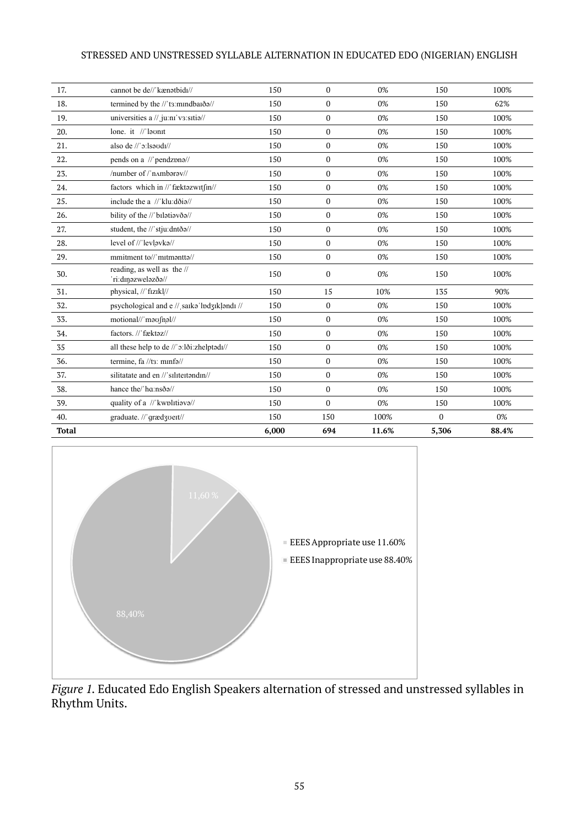## STRESSED AND UNSTRESSED SYLLABLE ALTERNATION IN EDUCATED EDO (NIGERIAN) ENGLISH

| 17.          | cannot be de//'kænatbidi//                     | 150   | $\mathbf{0}$ | 0%    | 150          | 100%  |
|--------------|------------------------------------------------|-------|--------------|-------|--------------|-------|
| 18.          | termined by the //'t3:mindbarða//              | 150   | $\Omega$     | 0%    | 150          | 62%   |
| 19.          | universities a // ju:ni v3:sitia//             | 150   | $\mathbf{0}$ | 0%    | 150          | 100%  |
| 20.          | lone. it //'laonit                             | 150   | $\mathbf{0}$ | 0%    | 150          | 100%  |
| 21.          | also de //'o:lsoudi//                          | 150   | $\mathbf{0}$ | 0%    | 150          | 100%  |
| 22.          | pends on a //'pendzpna//                       | 150   | $\mathbf{0}$ | 0%    | 150          | 100%  |
| 23.          | /number of /'nambaray//                        | 150   | $\mathbf{0}$ | 0%    | 150          | 100%  |
| 24.          | factors which in //'fæktazwitfin//             | 150   | $\mathbf{0}$ | 0%    | 150          | 100%  |
| 25.          | include the a //'klu:dðia//                    | 150   | $\Omega$     | 0%    | 150          | 100%  |
| 26.          | bility of the //'bilatiavða//                  | 150   | $\mathbf{0}$ | 0%    | 150          | 100%  |
| 27.          | student, the //'stju:dntða//                   | 150   | $\mathbf{0}$ | 0%    | 150          | 100%  |
| 28.          | level of //'levlovko//                         | 150   | $\mathbf{0}$ | 0%    | 150          | 100%  |
| 29.          | mmitment to//'mitmantta//                      | 150   | $\mathbf{0}$ | 0%    | 150          | 100%  |
| 30.          | reading, as well as the //<br>n:dinazwelazða// | 150   | $\Omega$     | 0%    | 150          | 100%  |
| 31.          | physical, //'fizikl//                          | 150   | 15           | 10%   | 135          | 90%   |
| 32.          | psychological and e // saika lpd3iklandi //    | 150   | $\mathbf{0}$ | 0%    | 150          | 100%  |
| 33.          | motional//'mou[nol//                           | 150   | $\mathbf{0}$ | 0%    | 150          | 100%  |
| 34.          | factors. //'fæktaz//                           | 150   | $\Omega$     | 0%    | 150          | 100%  |
| 35           | all these help to de //'o:lði:zhelptədi//      | 150   | $\mathbf{0}$ | 0%    | 150          | 100%  |
| 36.          | termine, fa //tɜː mɪnfə//                      | 150   | $\Omega$     | 0%    | 150          | 100%  |
| 37.          | silitatate and en //'siliteitandin//           | 150   | $\mathbf{0}$ | 0%    | 150          | 100%  |
| 38.          | hance the/'ha:nsðə//                           | 150   | $\Omega$     | 0%    | 150          | 100%  |
| 39.          | quality of a //'kwplttiava//                   | 150   | $\mathbf{0}$ | 0%    | 150          | 100%  |
| 40.          | graduate. //'grædzoeit//                       | 150   | 150          | 100%  | $\mathbf{0}$ | 0%    |
| <b>Total</b> |                                                | 6,000 | 694          | 11.6% | 5,306        | 88.4% |



*Figure 1.* Educated Edo English Speakers alternation of stressed and unstressed syllables in Rhythm Units.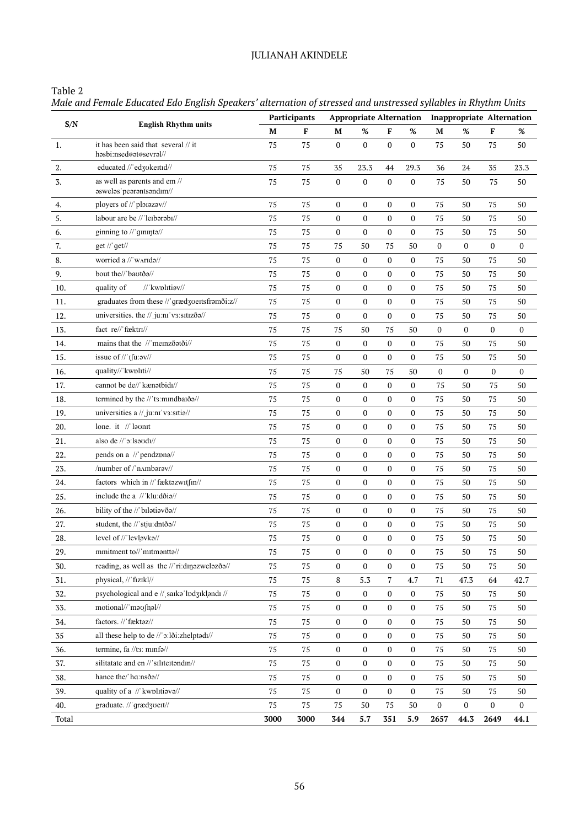# JULIANAH AKINDELE

# Table 2

*Male and Female Educated Edo English Speakers' alternation of stressed and unstressed syllables in Rhythm Units*

|       |                                                                                         | Participants |        | <b>Appropriate Alternation</b> |                  |                  |                  | <b>Inappropriate Alternation</b> |                  |                  |                  |
|-------|-----------------------------------------------------------------------------------------|--------------|--------|--------------------------------|------------------|------------------|------------------|----------------------------------|------------------|------------------|------------------|
| S/N   | <b>English Rhythm units</b>                                                             | М            | F      | М                              | $\%$             | F                | $\%$             | M                                | $\%$             | F                | %                |
| 1.    | it has been said that several // it<br>həsbi:nsed@at@sevral//                           | 75           | 75     | 0                              | $\boldsymbol{0}$ | $\boldsymbol{0}$ | $\boldsymbol{0}$ | 75                               | 50               | 75               | 50               |
| 2.    | educated //'ed3okeitid//                                                                | 75           | 75     | 35                             | 23.3             | 44               | 29.3             | 36                               | 24               | 35               | 23.3             |
| 3.    | as well as parents and em //<br>aswelas' pearantsand<br>m//                             | 75           | 75     | $\boldsymbol{0}$               | $\boldsymbol{0}$ | $\boldsymbol{0}$ | $\boldsymbol{0}$ | 75                               | 50               | 75               | 50               |
| 4.    | ployers of //'ploiazav//                                                                | 75           | 75     | $\boldsymbol{0}$               | $\bf{0}$         | 0                | $\boldsymbol{0}$ | 75                               | 50               | 75               | 50               |
| 5.    | labour are be //'leibarabi//                                                            | 75           | 75     | 0                              | $\boldsymbol{0}$ | $\boldsymbol{0}$ | $\boldsymbol{0}$ | 75                               | 50               | 75               | 50               |
| 6.    | ginning to //'gininta//                                                                 | 75           | 75     | 0                              | $\boldsymbol{0}$ | 0                | $\boldsymbol{0}$ | 75                               | 50               | 75               | 50               |
| 7.    | get $\frac{1}{q}$ get $\frac{1}{q}$                                                     | 75           | 75     | 75                             | 50               | 75               | 50               | $\mathbf{0}$                     | $\boldsymbol{0}$ | $\boldsymbol{0}$ | 0                |
| 8.    | worried a //'wArIda//                                                                   | 75           | 75     | 0                              | $\boldsymbol{0}$ | 0                | $\boldsymbol{0}$ | 75                               | 50               | 75               | 50               |
| 9.    | bout the//'baotða//                                                                     | 75           | 75     | 0                              | $\boldsymbol{0}$ | 0                | $\boldsymbol{0}$ | 75                               | 50               | 75               | 50               |
| 10.   | //'kwplttiav//<br>quality of                                                            | 75           | 75     | 0                              | $\boldsymbol{0}$ | $\boldsymbol{0}$ | $\boldsymbol{0}$ | 75                               | 50               | 75               | 50               |
| 11.   | graduates from these //'grædzvertsframði:z//                                            | 75           | 75     | $\boldsymbol{0}$               | $\boldsymbol{0}$ | $\boldsymbol{0}$ | $\boldsymbol{0}$ | 75                               | 50               | 75               | 50               |
| 12.   | universities. the // juːnɪ'vɜːsɪtɪzðə//                                                 | 75           | 75     | 0                              | $\boldsymbol{0}$ | 0                | 0                | 75                               | 50               | 75               | 50               |
| 13.   | fact_re//'fæktrɪ//                                                                      | 75           | 75     | 75                             | 50               | 75               | 50               | $\boldsymbol{0}$                 | $\boldsymbol{0}$ | $\boldsymbol{0}$ | $\boldsymbol{0}$ |
| 14.   | mains that the //'memzðatði//                                                           | 75           | 75     | 0                              | $\boldsymbol{0}$ | 0                | $\boldsymbol{0}$ | 75                               | 50               | 75               | 50               |
| 15.   | issue of $\frac{1}{\pi}$ if $\frac{1}{\pi}$ issue of $\frac{1}{\pi}$ if $\frac{1}{\pi}$ | 75           | 75     | 0                              | $\boldsymbol{0}$ | 0                | $\boldsymbol{0}$ | 75                               | 50               | 75               | 50               |
| 16.   | quality//'kwpltti//                                                                     | 75           | 75     | 75                             | 50               | 75               | 50               | $\boldsymbol{0}$                 | $\boldsymbol{0}$ | 0                | $\boldsymbol{0}$ |
| 17.   | cannot be de//'kænatbidI//                                                              | 75           | 75     | $\boldsymbol{0}$               | $\boldsymbol{0}$ | 0                | $\boldsymbol{0}$ | 75                               | 50               | 75               | 50               |
| 18.   | termined by the //'ts:mindbaiða//                                                       | 75           | 75     | 0                              | $\boldsymbol{0}$ | 0                | $\boldsymbol{0}$ | 75                               | 50               | 75               | 50               |
| 19.   | universities a // ju:ni'v3:sitia//                                                      | 75           | 75     | 0                              | $\boldsymbol{0}$ | 0                | $\boldsymbol{0}$ | 75                               | 50               | 75               | 50               |
| 20.   | lone. it //'laonit                                                                      | 75           | 75     | 0                              | $\boldsymbol{0}$ | 0                | $\boldsymbol{0}$ | 75                               | 50               | 75               | 50               |
| 21.   | also de //'o:lsaudi//                                                                   | 75           | 75     | 0                              | $\boldsymbol{0}$ | 0                | $\boldsymbol{0}$ | 75                               | 50               | 75               | 50               |
| 22.   | pends on a //'pendzono//                                                                | 75           | 75     | $\boldsymbol{0}$               | $\boldsymbol{0}$ | $\boldsymbol{0}$ | $\boldsymbol{0}$ | 75                               | 50               | 75               | 50               |
| 23.   | /number of /'nAmbaray//                                                                 | 75           | 75     | 0                              | $\boldsymbol{0}$ | 0                | 0                | 75                               | 50               | 75               | 50               |
| 24.   | factors which in //'fæktazwitfin//                                                      | 75           | 75     | 0                              | $\bf{0}$         | $\boldsymbol{0}$ | $\boldsymbol{0}$ | 75                               | 50               | 75               | 50               |
| 25.   | include the a //'klu:dðia//                                                             | 75           | 75     | 0                              | $\boldsymbol{0}$ | 0                | $\boldsymbol{0}$ | 75                               | 50               | 75               | 50               |
| 26.   | bility of the //'bilatiavða//                                                           | 75           | 75     | 0                              | $\boldsymbol{0}$ | 0                | $\boldsymbol{0}$ | 75                               | 50               | 75               | 50               |
| 27.   | student, the //'stju:dntða//                                                            | 75           | 75     | 0                              | $\boldsymbol{0}$ | 0                | $\boldsymbol{0}$ | 75                               | 50               | 75               | 50               |
| 28.   | level of //'levlavka//                                                                  | 75           | 75     | 0                              | $\boldsymbol{0}$ | 0                | $\boldsymbol{0}$ | 75                               | 50               | 75               | 50               |
| 29.   | mmitment to//'mitmentte//                                                               | 75           | $75\,$ | 0                              | $\boldsymbol{0}$ | 0                | 0                | 75                               | $50\,$           | 75               | 50               |
| 30.   | reading, as well as the //'ri:dɪŋəzweləzðə//                                            | 75           | $75\,$ | $\boldsymbol{0}$               | $\boldsymbol{0}$ | 0                | $\boldsymbol{0}$ | 75                               | 50               | 75               | 50               |
| 31.   | physical, //'fizikl//                                                                   | 75           | 75     | 8                              | 5.3              | 7                | 4.7              | 71                               | 47.3             | 64               | 42.7             |
| 32.   | psychological and e // saika lpd3iklandi //                                             | 75           | 75     | 0                              | 0                | 0                | $\boldsymbol{0}$ | 75                               | 50               | 75               | 50               |
| 33.   | motional//'moufnol//                                                                    | 75           | 75     | $\boldsymbol{0}$               | $\boldsymbol{0}$ | $\boldsymbol{0}$ | $\boldsymbol{0}$ | 75                               | 50               | 75               | 50               |
| 34.   | factors. //'fæktaz//                                                                    | 75           | 75     | 0                              | $\boldsymbol{0}$ | 0                | 0                | 75                               | 50               | 75               | 50               |
| 35    | all these help to de //'o:lði:zhelptadı//                                               | 75           | 75     | $\boldsymbol{0}$               | $\boldsymbol{0}$ | $\boldsymbol{0}$ | $\boldsymbol{0}$ | 75                               | 50               | 75               | 50               |
| 36.   | termine, fa //tɜː mɪnfə//                                                               | 75           | 75     | $\boldsymbol{0}$               | $\boldsymbol{0}$ | $\boldsymbol{0}$ | $\boldsymbol{0}$ | 75                               | 50               | 75               | 50               |
| 37.   | silitatate and en //'siliteitondin//                                                    | 75           | 75     | 0                              | $\boldsymbol{0}$ | 0                | 0                | 75                               | 50               | 75               | 50               |
| 38.   | hance the/'hɑːnsðə//                                                                    | 75           | 75     | 0                              | $\boldsymbol{0}$ | 0                | $\boldsymbol{0}$ | 75                               | 50               | 75               | 50               |
| 39.   | quality of a //'kwplitiava//                                                            | 75           | 75     | 0                              | $\boldsymbol{0}$ | 0                | 0                | $75\,$                           | 50               | 75               | 50               |
| 40.   | graduate. //'grædzoeit//                                                                | 75           | 75     | 75                             | 50               | 75               | 50               | $\boldsymbol{0}$                 | $\boldsymbol{0}$ | $\boldsymbol{0}$ | 0                |
| Total |                                                                                         | 3000         | 3000   | 344                            | 5.7              | 351              | 5.9              | 2657                             | 44.3             | 2649             | 44.1             |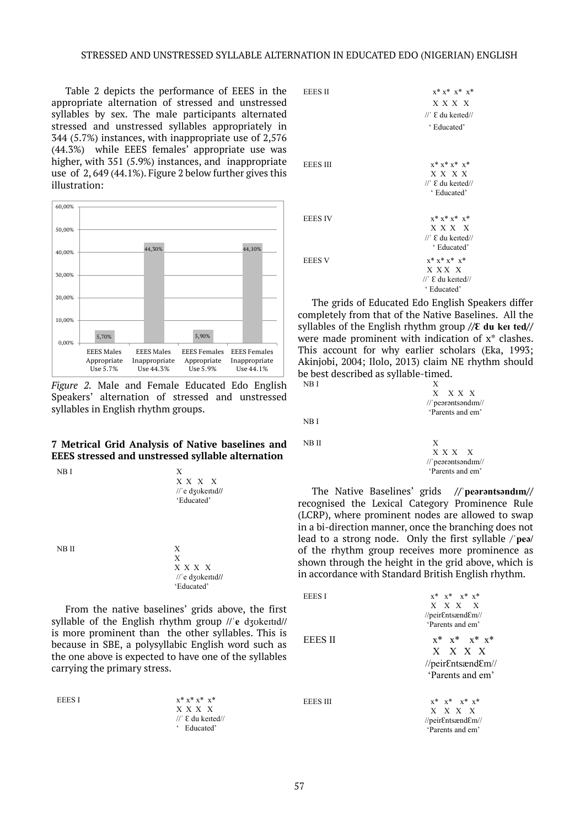Table 2 depicts the performance of EEES in the appropriate alternation of stressed and unstressed syllables by sex. The male participants alternated stressed and unstressed syllables appropriately in 344 (5.7%) instances, with inappropriate use of 2,576 (44.3%) while EEES females' appropriate use was higher, with 351 (5.9%) instances, and inappropriate use of 2, 649 (44.1%). Figure 2 below further gives this illustration:



*Figure 2.* Male and Female Educated Edo English Speakers' alternation of stressed and unstressed syllables in English rhythm groups.

## **7 Metrical Grid Analysis of Native baselines and EEES stressed and unstressed syllable alternation**



From the native baselines' grids above, the first syllable of the English rhythm group **//ˈe** dʒʊkeɪtɪd**//** is more prominent than the other syllables. This is because in SBE, a polysyllabic English word such as the one above is expected to have one of the syllables carrying the primary stress.

EEES I  $x^* x^* x^* x^*$ 



The grids of Educated Edo English Speakers differ completely from that of the Native Baselines. All the syllables of the English rhythm group **//Ɛ du keɪ ted//** were made prominent with indication of x\* clashes. This account for why earlier scholars (Eka, 1993; Akinjobi, 2004; Ilolo, 2013) claim NE rhythm should be best described as syllable-timed. NB I

X

NB I

NB II X

 X X X X //ˈpeərəntsəndɪm// 'Parents and em'

 X X X X //ˈpeərəntsəndɪm// 'Parents and em'

The Native Baselines' grids **//ˈpeərəntsəndɪm//** recognised the Lexical Category Prominence Rule (LCRP), where prominent nodes are allowed to swap in a bi-direction manner, once the branching does not lead to a strong node. Only the first syllable /**ˈpeə/** of the rhythm group receives more prominence as shown through the height in the grid above, which is in accordance with Standard British English rhythm.

| EEES I   | $x^*$ $x^*$ $x^*$ $x^*$<br>$X \times X \times X$<br>//peirEntsændEm//<br>'Parents and em' |
|----------|-------------------------------------------------------------------------------------------|
| EEES II  | $x^*$ $x^*$ $x^*$ $x^*$<br>X X X X<br>//peirEntsændEm//<br>'Parents and em'               |
| EEES III | $x^*$ $x^*$ $x^*$ $x^*$<br>$\mathbf{v}$ $\mathbf{v}$ $\mathbf{v}$ $\mathbf{v}$            |

 X X X X //peirƐntsændƐm// 'Parents and em'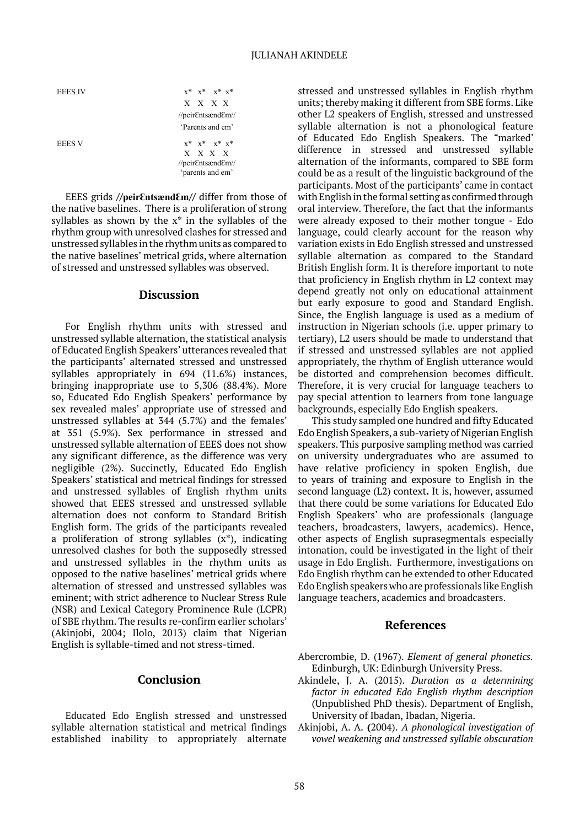$x^*$   $x^*$   $x^*$   $x^*$  X X X X //peirƐntsændƐm// 'Parents and em' EEES V  $X^*$   $X^*$   $X^*$   $X^*$   $X^*$  X X X X //peirƐntsændƐm// 'parents and em'

EEES grids **//peirƐntsændƐm//** differ from those of the native baselines. There is a proliferation of strong syllables as shown by the  $x^*$  in the syllables of the rhythm group with unresolved clashes for stressed and unstressed syllables in the rhythm units as compared to the native baselines' metrical grids, where alternation of stressed and unstressed syllables was observed.

## **Discussion**

For English rhythm units with stressed and unstressed syllable alternation, the statistical analysis of Educated English Speakers' utterances revealed that the participants' alternated stressed and unstressed syllables appropriately in 694 (11.6%) instances, bringing inappropriate use to 5,306 (88.4%). More so, Educated Edo English Speakers' performance by sex revealed males' appropriate use of stressed and unstressed syllables at 344 (5.7%) and the females' at 351 (5.9%). Sex performance in stressed and unstressed syllable alternation of EEES does not show any significant difference, as the difference was very negligible (2%). Succinctly, Educated Edo English Speakers' statistical and metrical findings for stressed and unstressed syllables of English rhythm units showed that EEES stressed and unstressed syllable alternation does not conform to Standard British English form. The grids of the participants revealed a proliferation of strong syllables  $(x^*)$ , indicating unresolved clashes for both the supposedly stressed and unstressed syllables in the rhythm units as opposed to the native baselines' metrical grids where alternation of stressed and unstressed syllables was eminent; with strict adherence to Nuclear Stress Rule (NSR) and Lexical Category Prominence Rule (LCPR) of SBE rhythm. The results re-confirm earlier scholars' (Akinjobi, 2004; Ilolo, 2013) claim that Nigerian English is syllable-timed and not stress-timed.

## **Conclusion**

Educated Edo English stressed and unstressed syllable alternation statistical and metrical findings established inability to appropriately alternate

stressed and unstressed syllables in English rhythm units; thereby making it different from SBE forms. Like other L2 speakers of English, stressed and unstressed syllable alternation is not a phonological feature of Educated Edo English Speakers. The "marked' difference in stressed and unstressed syllable alternation of the informants, compared to SBE form could be as a result of the linguistic background of the participants. Most of the participants' came in contact with English in the formal setting as confirmed through oral interview. Therefore, the fact that the informants were already exposed to their mother tongue - Edo language, could clearly account for the reason why variation exists in Edo English stressed and unstressed syllable alternation as compared to the Standard British English form. It is therefore important to note that proficiency in English rhythm in L2 context may depend greatly not only on educational attainment but early exposure to good and Standard English. Since, the English language is used as a medium of instruction in Nigerian schools (i.e. upper primary to tertiary), L2 users should be made to understand that if stressed and unstressed syllables are not applied appropriately, the rhythm of English utterance would be distorted and comprehension becomes difficult. Therefore, it is very crucial for language teachers to pay special attention to learners from tone language backgrounds, especially Edo English speakers.

This study sampled one hundred and fifty Educated Edo English Speakers, a sub-variety of Nigerian English speakers. This purposive sampling method was carried on university undergraduates who are assumed to have relative proficiency in spoken English, due to years of training and exposure to English in the second language (L2) context**.** It is, however, assumed that there could be some variations for Educated Edo English Speakers' who are professionals (language teachers, broadcasters, lawyers, academics). Hence, other aspects of English suprasegmentals especially intonation, could be investigated in the light of their usage in Edo English. Furthermore, investigations on Edo English rhythm can be extended to other Educated Edo English speakers who are professionals like English language teachers, academics and broadcasters.

#### **References**

- Abercrombie, D. (1967). *Element of general phonetics.* Edinburgh, UK: Edinburgh University Press.
- Akindele, J. A. (2015). *Duration as a determining factor in educated Edo English rhythm description* (Unpublished PhD thesis). Department of English, University of Ibadan, Ibadan, Nigeria.
- Akinjobi, A. A. **(**2004). *A phonological investigation of vowel weakening and unstressed syllable obscuration*